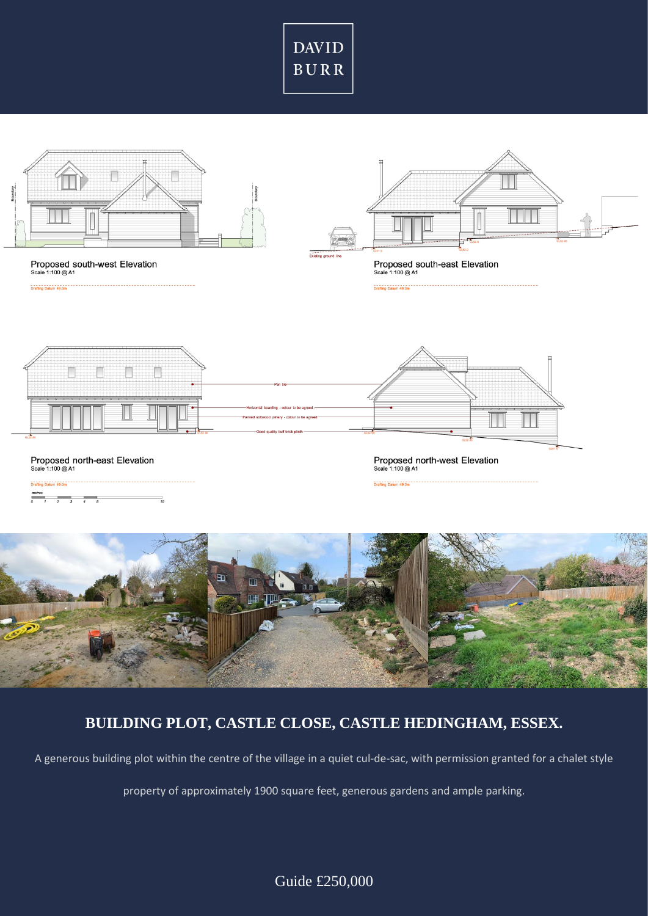



# **BUILDING PLOT, CASTLE CLOSE, CASTLE HEDINGHAM, ESSEX.**

A generous building plot within the centre of the village in a quiet cul-de-sac, with permission granted for a chalet style

property of approximately 1900 square feet, generous gardens and ample parking.